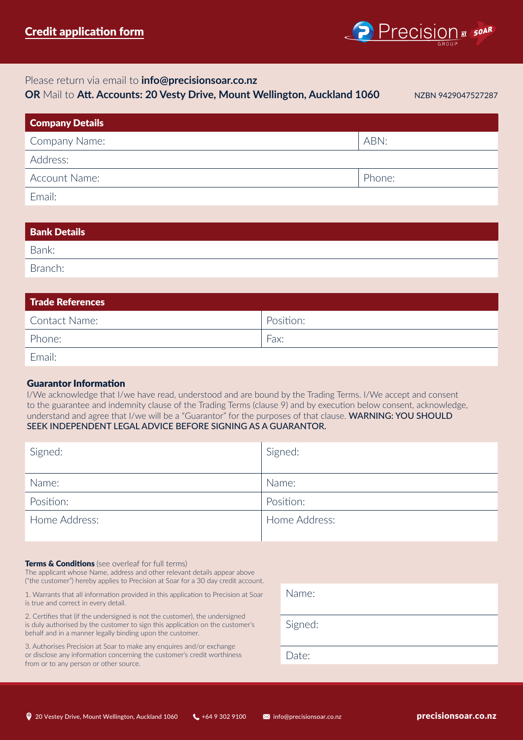

# Please return via email to **info@precisionsoar.co.nz**

**OR** Mail to **Att. Accounts: 20 Vesty Drive, Mount Wellington, Auckland 1060**

NZBN 9429047527287

| <b>Company Details</b> |        |
|------------------------|--------|
| Company Name:          | ABN:   |
| Address:               |        |
| Account Name:          | Phone: |
| Email:                 |        |

| <b>Bank Details</b> |  |  |
|---------------------|--|--|
| Bank:               |  |  |
| Branch:             |  |  |

| <b>Trade References</b> |           |
|-------------------------|-----------|
| Contact Name:           | Position: |
| Phone:                  | Fax:      |
| Fmail:                  |           |

# Guarantor Information

I/We acknowledge that I/we have read, understood and are bound by the Trading Terms. I/We accept and consent to the guarantee and indemnity clause of the Trading Terms (clause 9) and by execution below consent, acknowledge, understand and agree that I/we will be a "Guarantor" for the purposes of that clause. WARNING: YOU SHOULD SEEK INDEPENDENT LEGAL ADVICE BEFORE SIGNING AS A GUARANTOR.

| Signed:       | Signed:       |
|---------------|---------------|
| Name:         | Name:         |
| Position:     | Position:     |
| Home Address: | Home Address: |

## **Terms & Conditions** (see overleaf for full terms)

The applicant whose Name, address and other relevant details appear above ("the customer") hereby applies to Precision at Soar for a 30 day credit account.

1. Warrants that all information provided in this application to Precision at Soar is true and correct in every detail.

2. Certifies that (if the undersigned is not the customer), the undersigned is duly authorised by the customer to sign this application on the customer's behalf and in a manner legally binding upon the customer.

3. Authorises Precision at Soar to make any enquires and/or exchange or disclose any information concerning the customer's credit worthiness from or to any person or other source.

| Name:   |
|---------|
| Signed: |
| Date:   |